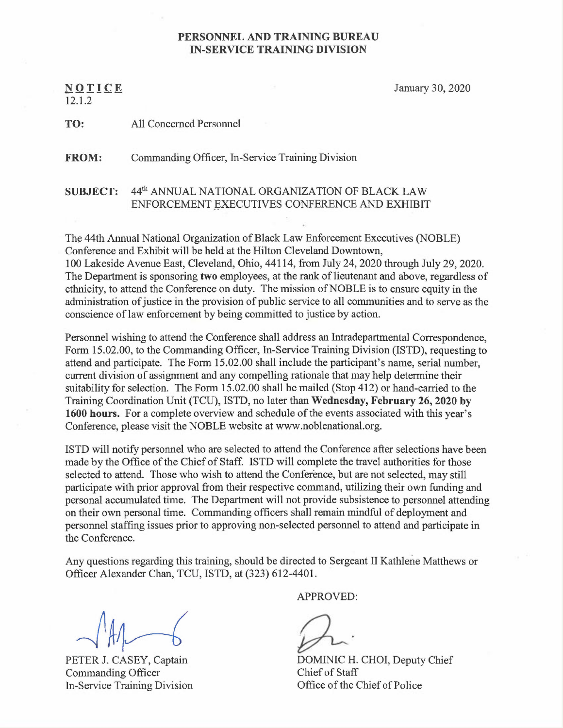## PERSONNEL AND TRAINING BUREAU IN-SERVICE TRAINING DIVISION

N OTICE 12.1.2

January 30, 2020

TO: All Concerned Personnel

FROM: Commanding Officer, In-Service Training Division

## SUBJECT: 44<sup>th</sup> ANNUAL NATIONAL ORGANIZATION OF BLACK LAW ENFORCEMENT EXECUTIVES CONFERENCE AND EXHIBIT

The 44th Annual National Organization of Black Law Enforcement Executives (NOBLE) Conference and Exhibit will be held at the Hilton Cleveland Downtown, 100 Lakeside Avenue East, Cleveland, Ohio, 44114, from July 24, 2020 through July 29, 2020. The Department is sponsoring two employees, at the rank of lieutenant and above, regardless of ethnicity, to attend the Conference on duty. The mission of NOBLE is to ensure equity in the administration of justice in the provision of public service to all communities and to serve as the conscience of law enforcement by being committed to justice by action.

Personnel wishing to attend the Conference shall address an Intradepartmental Correspondence, Form 15.02.00, to the Commanding Officer, In-Service Training Division (ISTD), requesting to attend and participate. The Form 15.02.00 shall include the participant's name, serial number, current division of assignment and any compelling rationale that may help determine their suitability for selection. The Form 15.02.00 shall be mailed (Stop 412) or hand-carried to the Training Coordination Unit (TCU), ISTD, no later than Wednesday, February 26, 2020 by 1600 hours. For a complete overview and schedule of the events associated with this year's Conference, please visit the NOBLE website at www.noblenational.org.

ISTD will notify personnel who are selected to attend the Conference after selections have been made by the Office of the Chief of Staff. ISTD will complete the travel authorities for those selected to attend. Those who wish to attend the Conference, but are not selected, may still participate with prior approval from their respective command, utilizing their own funding and personal accumulated time. The Department will not provide subsistence to personnel attending on their own personal time. Commanding officers shall remain mindful of deployment and personnel staffing issues prior to approving non-selected personnel to attend and participate in the Conference.

Any questions regarding this training, should be directed to Sergeant II Kathlene Matthews or Officer Alexander Chan, TCU, ISTD, at (323) 612-4401.

PETER J. CASEY, Captain Commanding Officer In-Service Training Division

APPROVED:

DOMINIC H. CHOI, Deputy Chief Chief of Staff Office of the Chief of Police